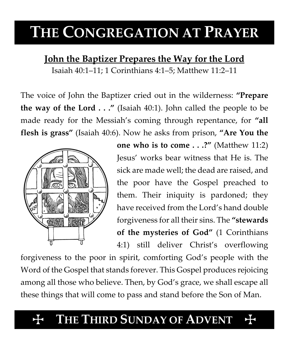# **THE CONGREGATION AT PRAYER**

## **John the Baptizer Prepares the Way for the Lord**

Isaiah 40:1–11; 1 Corinthians 4:1–5; Matthew 11:2–11

The voice of John the Baptizer cried out in the wilderness: **"Prepare the way of the Lord . . ."** (Isaiah 40:1). John called the people to be made ready for the Messiah's coming through repentance, for **"all flesh is grass"** (Isaiah 40:6). Now he asks from prison, **"Are You the** 



**one who is to come . . .?"** (Matthew 11:2) Jesus' works bear witness that He is. The sick are made well; the dead are raised, and the poor have the Gospel preached to them. Their iniquity is pardoned; they have received from the Lord's hand double forgiveness for all their sins. The **"stewards of the mysteries of God"** (1 Corinthians 4:1) still deliver Christ's overflowing

forgiveness to the poor in spirit, comforting God's people with the Word of the Gospel that stands forever. This Gospel produces rejoicing among all those who believe. Then, by God's grace, we shall escape all these things that will come to pass and stand before the Son of Man.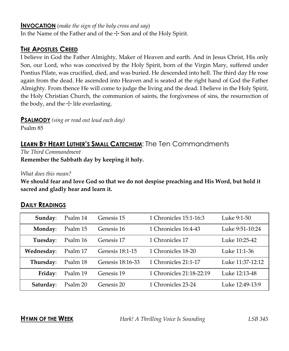#### **INVOCATION** (*make the sign of the holy cross and say*)

In the Name of the Father and of the  $\pm$  Son and of the Holy Spirit.

#### **THE APOSTLES CREED**

I believe in God the Father Almighty, Maker of Heaven and earth. And in Jesus Christ, His only Son, our Lord, who was conceived by the Holy Spirit, born of the Virgin Mary, suffered under Pontius Pilate, was crucified, died, and was buried. He descended into hell. The third day He rose again from the dead. He ascended into Heaven and is seated at the right hand of God the Father Almighty. From thence He will come to judge the living and the dead. I believe in the Holy Spirit, the Holy Christian Church, the communion of saints, the forgiveness of sins, the resurrection of the body, and the  $\pm$  life everlasting.

**PSALMODY** *(sing or read out loud each day)*

Psalm 85

### **LEARN BY HEART LUTHER'S SMALL CATECHISM**: The Ten Commandments

*The Third Commandment* **Remember the Sabbath day by keeping it holy.**

*What does this mean?*

**We should fear and love God so that we do not despise preaching and His Word, but hold it sacred and gladly hear and learn it.**

#### **DAILY READINGS**

| Sunday:    | Psalm 14 | Genesis 15       | 1 Chronicles 15:1-16:3   | Luke 9:1-50      |
|------------|----------|------------------|--------------------------|------------------|
| Monday:    | Psalm 15 | Genesis 16       | 1 Chronicles 16:4-43     | Luke 9:51-10:24  |
| Tuesday:   | Psalm 16 | Genesis 17       | 1 Chronicles 17          | Luke 10:25-42    |
| Wednesday: | Psalm 17 | Genesis 18:1-15  | 1 Chronicles 18-20       | Luke 11:1-36     |
| Thursday:  | Psalm 18 | Genesis 18:16-33 | 1 Chronicles 21:1-17     | Luke 11:37-12:12 |
| Friday:    | Psalm 19 | Genesis 19       | 1 Chronicles 21:18-22:19 | Luke 12:13-48    |
| Saturday:  | Psalm 20 | Genesis 20       | 1 Chronicles 23-24       | Luke 12:49-13:9  |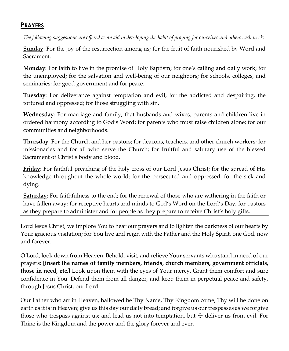#### **PRAYERS**

*The following suggestions are offered as an aid in developing the habit of praying for ourselves and others each week:*

**Sunday**: For the joy of the resurrection among us; for the fruit of faith nourished by Word and Sacrament.

**Monday**: For faith to live in the promise of Holy Baptism; for one's calling and daily work; for the unemployed; for the salvation and well-being of our neighbors; for schools, colleges, and seminaries; for good government and for peace.

**Tuesday**: For deliverance against temptation and evil; for the addicted and despairing, the tortured and oppressed; for those struggling with sin.

**Wednesday**: For marriage and family, that husbands and wives, parents and children live in ordered harmony according to God's Word; for parents who must raise children alone; for our communities and neighborhoods.

**Thursday**: For the Church and her pastors; for deacons, teachers, and other church workers; for missionaries and for all who serve the Church; for fruitful and salutary use of the blessed Sacrament of Christ's body and blood.

**Friday**: For faithful preaching of the holy cross of our Lord Jesus Christ; for the spread of His knowledge throughout the whole world; for the persecuted and oppressed; for the sick and dying.

**Saturday**: For faithfulness to the end; for the renewal of those who are withering in the faith or have fallen away; for receptive hearts and minds to God's Word on the Lord's Day; for pastors as they prepare to administer and for people as they prepare to receive Christ's holy gifts.

Lord Jesus Christ, we implore You to hear our prayers and to lighten the darkness of our hearts by Your gracious visitation; for You live and reign with the Father and the Holy Spirit, one God, now and forever.

O Lord, look down from Heaven. Behold, visit, and relieve Your servants who stand in need of our prayers: **[insert the names of family members, friends, church members, government officials, those in need, etc.]** Look upon them with the eyes of Your mercy. Grant them comfort and sure confidence in You. Defend them from all danger, and keep them in perpetual peace and safety, through Jesus Christ, our Lord.

Our Father who art in Heaven, hallowed be Thy Name, Thy Kingdom come, Thy will be done on earth as it is in Heaven; give us this day our daily bread; and forgive us our trespasses as we forgive those who trespass against us; and lead us not into temptation, but  $\pm$  deliver us from evil. For Thine is the Kingdom and the power and the glory forever and ever.